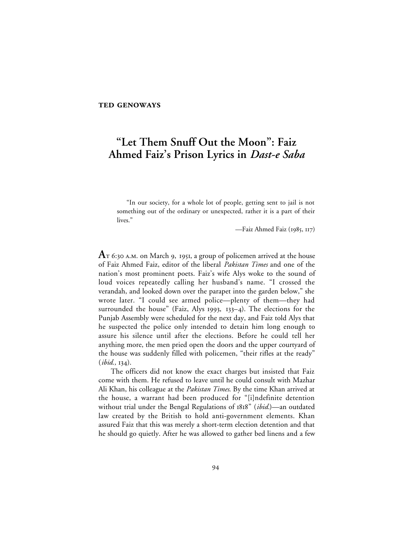# **"Let Them Snuff Out the Moon": Faiz Ahmed Faiz's Prison Lyrics in** *Dast-e Saba*

"In our society, for a whole lot of people, getting sent to jail is not something out of the ordinary or unexpected, rather it is a part of their lives."

—Faiz Ahmed Faiz (1985, 117)

 $A$ T 6:30 A.M. on March 9, 1951, a group of policemen arrived at the house of Faiz Ahmed Faiz, editor of the liberal *Pakistan Times* and one of the nation's most prominent poets. Faiz's wife Alys woke to the sound of loud voices repeatedly calling her husband's name. "I crossed the verandah, and looked down over the parapet into the garden below," she wrote later. "I could see armed police—plenty of them—they had surrounded the house" (Faiz, Alys 1993, 133-4). The elections for the Punjab Assembly were scheduled for the next day, and Faiz told Alys that he suspected the police only intended to detain him long enough to assure his silence until after the elections. Before he could tell her anything more, the men pried open the doors and the upper courtyard of the house was suddenly filled with policemen, "their rifles at the ready"  $(ibid., 134).$ 

The officers did not know the exact charges but insisted that Faiz come with them. He refused to leave until he could consult with Mazhar Ali Khan, his colleague at the *Pakistan Times*. By the time Khan arrived at the house, a warrant had been produced for "[i]ndefinite detention without trial under the Bengal Regulations of 1818" (*ibid.*)—an outdated law created by the British to hold anti-government elements. Khan assured Faiz that this was merely a short-term election detention and that he should go quietly. After he was allowed to gather bed linens and a few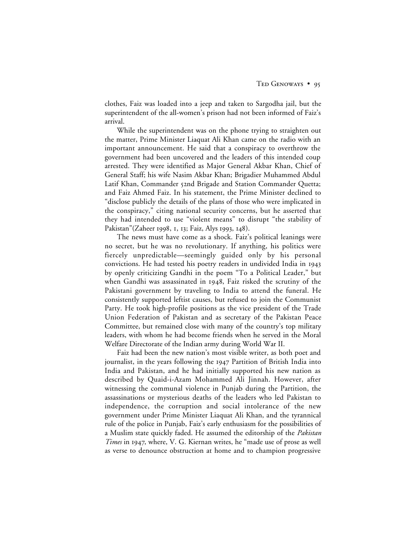clothes, Faiz was loaded into a jeep and taken to Sargodha jail, but the superintendent of the all-women's prison had not been informed of Faiz's arrival.

While the superintendent was on the phone trying to straighten out the matter, Prime Minister Liaquat Ali Khan came on the radio with an important announcement. He said that a conspiracy to overthrow the government had been uncovered and the leaders of this intended coup arrested. They were identified as Major General Akbar Khan, Chief of General Staff; his wife Nasim Akbar Khan; Brigadier Muhammed Abdul Latif Khan, Commander 52nd Brigade and Station Commander Quetta; and Faiz Ahmed Faiz. In his statement, the Prime Minister declined to "disclose publicly the details of the plans of those who were implicated in the conspiracy," citing national security concerns, but he asserted that they had intended to use "violent means" to disrupt "the stability of Pakistan"(Zaheer 1998, 1, 13; Faiz, Alys 1993, 148).

The news must have come as a shock. Faiz's political leanings were no secret, but he was no revolutionary. If anything, his politics were fiercely unpredictable—seemingly guided only by his personal convictions. He had tested his poetry readers in undivided India in by openly criticizing Gandhi in the poem "To a Political Leader," but when Gandhi was assassinated in 1948, Faiz risked the scrutiny of the Pakistani government by traveling to India to attend the funeral. He consistently supported leftist causes, but refused to join the Communist Party. He took high-profile positions as the vice president of the Trade Union Federation of Pakistan and as secretary of the Pakistan Peace Committee, but remained close with many of the country's top military leaders, with whom he had become friends when he served in the Moral Welfare Directorate of the Indian army during World War II.

Faiz had been the new nation's most visible writer, as both poet and journalist, in the years following the 1947 Partition of British India into India and Pakistan, and he had initially supported his new nation as described by Quaid-i-Azam Mohammed Ali Jinnah. However, after witnessing the communal violence in Punjab during the Partition, the assassinations or mysterious deaths of the leaders who led Pakistan to independence, the corruption and social intolerance of the new government under Prime Minister Liaquat Ali Khan, and the tyrannical rule of the police in Punjab, Faiz's early enthusiasm for the possibilities of a Muslim state quickly faded. He assumed the editorship of the *Pakistan Times* in 1947, where, V. G. Kiernan writes, he "made use of prose as well as verse to denounce obstruction at home and to champion progressive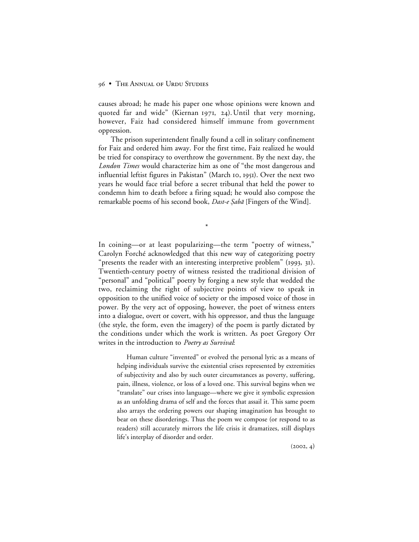causes abroad; he made his paper one whose opinions were known and quoted far and wide" (Kiernan 1971, 24). Until that very morning, however, Faiz had considered himself immune from government oppression.

The prison superintendent finally found a cell in solitary confinement for Faiz and ordered him away. For the first time, Faiz realized he would be tried for conspiracy to overthrow the government. By the next day, the *London Times* would characterize him as one of "the most dangerous and influential leftist figures in Pakistan" (March 10, 1951). Over the next two years he would face trial before a secret tribunal that held the power to condemn him to death before a firing squad; he would also compose the remarkable poems of his second book, *Dast-e Şabā* [Fingers of the Wind].

\*

In coining—or at least popularizing—the term "poetry of witness," Carolyn Forché acknowledged that this new way of categorizing poetry "presents the reader with an interesting interpretive problem" (1993, 31). Twentieth-century poetry of witness resisted the traditional division of "personal" and "political" poetry by forging a new style that wedded the two, reclaiming the right of subjective points of view to speak in opposition to the unified voice of society or the imposed voice of those in power. By the very act of opposing, however, the poet of witness enters into a dialogue, overt or covert, with his oppressor, and thus the language (the style, the form, even the imagery) of the poem is partly dictated by the conditions under which the work is written. As poet Gregory Orr writes in the introduction to *Poetry as Survival*:

Human culture "invented" or evolved the personal lyric as a means of helping individuals survive the existential crises represented by extremities of subjectivity and also by such outer circumstances as poverty, suffering, pain, illness, violence, or loss of a loved one. This survival begins when we "translate" our crises into language—where we give it symbolic expression as an unfolding drama of self and the forces that assail it. This same poem also arrays the ordering powers our shaping imagination has brought to bear on these disorderings. Thus the poem we compose (or respond to as readers) still accurately mirrors the life crisis it dramatizes, still displays life's interplay of disorder and order.

 $(2002, 4)$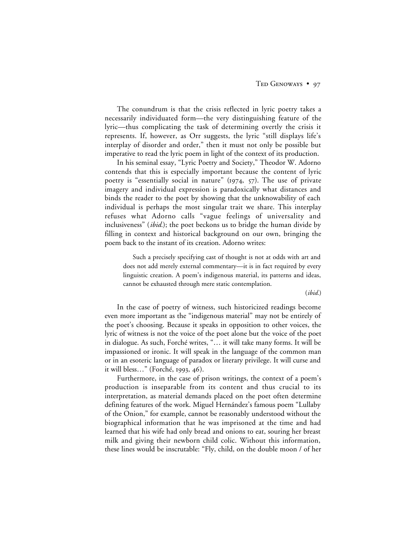The conundrum is that the crisis reflected in lyric poetry takes a necessarily individuated form—the very distinguishing feature of the lyric—thus complicating the task of determining overtly the crisis it represents. If, however, as Orr suggests, the lyric "still displays life's interplay of disorder and order," then it must not only be possible but imperative to read the lyric poem in light of the context of its production.

In his seminal essay, "Lyric Poetry and Society," Theodor W. Adorno contends that this is especially important because the content of lyric poetry is "essentially social in nature" (1974,  $57$ ). The use of private imagery and individual expression is paradoxically what distances and binds the reader to the poet by showing that the unknowability of each individual is perhaps the most singular trait we share. This interplay refuses what Adorno calls "vague feelings of universality and inclusiveness" (*ibid.*); the poet beckons us to bridge the human divide by filling in context and historical background on our own, bringing the poem back to the instant of its creation. Adorno writes:

Such a precisely specifying cast of thought is not at odds with art and does not add merely external commentary—it is in fact required by every linguistic creation. A poem's indigenous material, its patterns and ideas, cannot be exhausted through mere static contemplation.

(*ibid.*)

In the case of poetry of witness, such historicized readings become even more important as the "indigenous material" may not be entirely of the poet's choosing. Because it speaks in opposition to other voices, the lyric of witness is not the voice of the poet alone but the voice of the poet in dialogue. As such, Forché writes, "… it will take many forms. It will be impassioned or ironic. It will speak in the language of the common man or in an esoteric language of paradox or literary privilege. It will curse and it will bless..." (Forché, 1993, 46).

Furthermore, in the case of prison writings, the context of a poem's production is inseparable from its content and thus crucial to its interpretation, as material demands placed on the poet often determine defining features of the work. Miguel Hernández's famous poem "Lullaby of the Onion," for example, cannot be reasonably understood without the biographical information that he was imprisoned at the time and had learned that his wife had only bread and onions to eat, souring her breast milk and giving their newborn child colic. Without this information, these lines would be inscrutable: "Fly, child, on the double moon / of her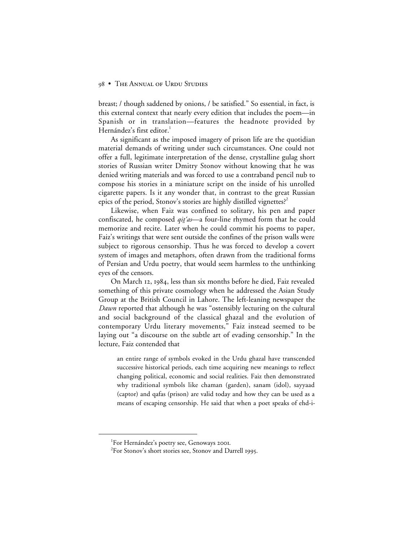breast; / though saddened by onions, / be satisfied." So essential, in fact, is this external context that nearly every edition that includes the poem—in Spanish or in translation—features the headnote provided by Hernández's first editor.<sup>1</sup>

As significant as the imposed imagery of prison life are the quotidian material demands of writing under such circumstances. One could not offer a full, legitimate interpretation of the dense, crystalline gulag short stories of Russian writer Dmitry Stonov without knowing that he was denied writing materials and was forced to use a contraband pencil nub to compose his stories in a miniature script on the inside of his unrolled cigarette papers. Is it any wonder that, in contrast to the great Russian epics of the period, Stonov's stories are highly distilled vignettes?<sup>2</sup>

Likewise, when Faiz was confined to solitary, his pen and paper confiscated, he composed  $qit$ 'as—a four-line rhymed form that he could memorize and recite. Later when he could commit his poems to paper, Faiz's writings that were sent outside the confines of the prison walls were subject to rigorous censorship. Thus he was forced to develop a covert system of images and metaphors, often drawn from the traditional forms of Persian and Urdu poetry, that would seem harmless to the unthinking eyes of the censors.

On March 12, 1984, less than six months before he died, Faiz revealed something of this private cosmology when he addressed the Asian Study Group at the British Council in Lahore. The left-leaning newspaper the *Dawn* reported that although he was "ostensibly lecturing on the cultural and social background of the classical ghazal and the evolution of contemporary Urdu literary movements," Faiz instead seemed to be laying out "a discourse on the subtle art of evading censorship." In the lecture, Faiz contended that

an entire range of symbols evoked in the Urdu ghazal have transcended successive historical periods, each time acquiring new meanings to reflect changing political, economic and social realities. Faiz then demonstrated why traditional symbols like chaman (garden), sanam (idol), sayyaad (captor) and qafas (prison) are valid today and how they can be used as a means of escaping censorship. He said that when a poet speaks of ehd-i-

 $\overline{\phantom{a}}$ <sup>1</sup>For Hernández's poetry see, Genoways 2001.

<sup>&</sup>lt;sup>2</sup>For Stonov's short stories see, Stonov and Darrell 1995.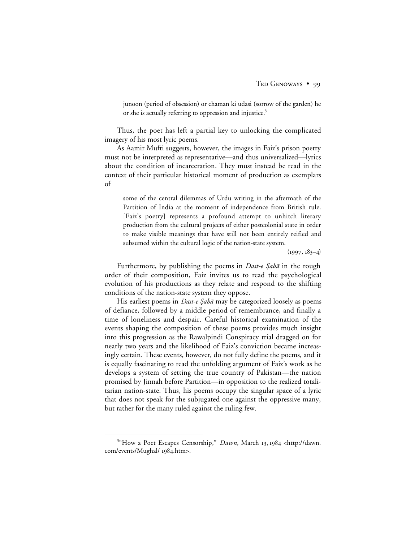junoon (period of obsession) or chaman ki udasi (sorrow of the garden) he or she is actually referring to oppression and injustice.<sup>3</sup>

Thus, the poet has left a partial key to unlocking the complicated imagery of his most lyric poems.

As Aamir Mufti suggests, however, the images in Faiz's prison poetry must not be interpreted as representative—and thus universalized—lyrics about the condition of incarceration. They must instead be read in the context of their particular historical moment of production as exemplars of

some of the central dilemmas of Urdu writing in the aftermath of the Partition of India at the moment of independence from British rule. [Faiz's poetry] represents a profound attempt to unhitch literary production from the cultural projects of either postcolonial state in order to make visible meanings that have still not been entirely reified and subsumed within the cultural logic of the nation-state system.

 $(1997, 183-4)$ 

Furthermore, by publishing the poems in Dast-e Şabā in the rough order of their composition, Faiz invites us to read the psychological evolution of his productions as they relate and respond to the shifting conditions of the nation-state system they oppose.

His earliest poems in *Dast-e Şabā* may be categorized loosely as poems of defiance, followed by a middle period of remembrance, and finally a time of loneliness and despair. Careful historical examination of the events shaping the composition of these poems provides much insight into this progression as the Rawalpindi Conspiracy trial dragged on for nearly two years and the likelihood of Faiz's conviction became increasingly certain. These events, however, do not fully define the poems, and it is equally fascinating to read the unfolding argument of Faiz's work as he develops a system of setting the true country of Pakistan—the nation promised by Jinnah before Partition—in opposition to the realized totalitarian nation-state. Thus, his poems occupy the singular space of a lyric that does not speak for the subjugated one against the oppressive many, but rather for the many ruled against the ruling few.

 $\frac{1}{3}$ <sup>3"</sup>How a Poet Escapes Censorship," *Dawn*, March 13, 1984 <http://dawn. com/events/Mughal/ 1984.htm>.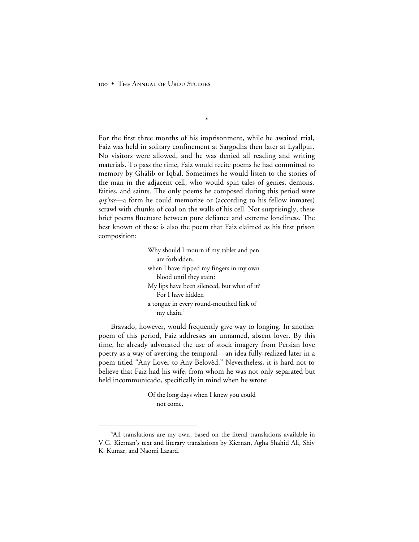For the first three months of his imprisonment, while he awaited trial, Faiz was held in solitary confinement at Sargodha then later at Lyallpur. No visitors were allowed, and he was denied all reading and writing materials. To pass the time, Faiz would recite poems he had committed to memory by Ghālib or Iqbal. Sometimes he would listen to the stories of the man in the adjacent cell, who would spin tales of genies, demons, fairies, and saints. The only poems he composed during this period were  $qit'$ tas—a form he could memorize or (according to his fellow inmates) scrawl with chunks of coal on the walls of his cell. Not surprisingly, these brief poems fluctuate between pure defiance and extreme loneliness. The best known of these is also the poem that Faiz claimed as his first prison composition:

\*

Why should I mourn if my tablet and pen are forbidden, when I have dipped my fingers in my own blood until they stain? My lips have been silenced, but what of it? For I have hidden a tongue in every round-mouthed link of my chain.<sup>4</sup>

Bravado, however, would frequently give way to longing. In another poem of this period, Faiz addresses an unnamed, absent lover. By this time, he already advocated the use of stock imagery from Persian love poetry as a way of averting the temporal—an idea fully-realized later in a poem titled "Any Lover to Any Belovèd." Nevertheless, it is hard not to believe that Faiz had his wife, from whom he was not only separated but held incommunicado, specifically in mind when he wrote:

> Of the long days when I knew you could not come,

 $\overline{4}$ <sup>4</sup>All translations are my own, based on the literal translations available in V.G. Kiernan's text and literary translations by Kiernan, Agha Shahid Ali, Shiv K. Kumar, and Naomi Lazard.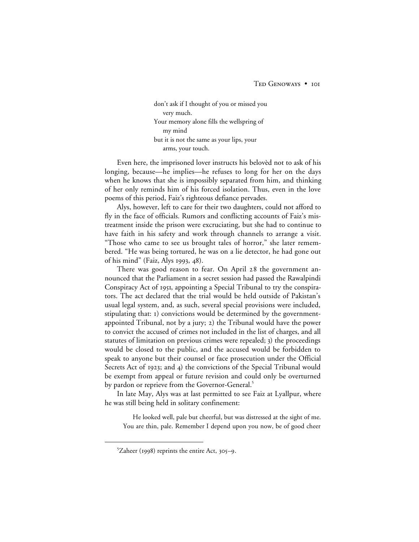don't ask if I thought of you or missed you very much. Your memory alone fills the wellspring of my mind but it is not the same as your lips, your arms, your touch.

Even here, the imprisoned lover instructs his belovèd not to ask of his longing, because—he implies—he refuses to long for her on the days when he knows that she is impossibly separated from him, and thinking of her only reminds him of his forced isolation. Thus, even in the love poems of this period, Faiz's righteous defiance pervades.

Alys, however, left to care for their two daughters, could not afford to fly in the face of officials. Rumors and conflicting accounts of Faiz's mistreatment inside the prison were excruciating, but she had to continue to have faith in his safety and work through channels to arrange a visit. "Those who came to see us brought tales of horror," she later remembered. "He was being tortured, he was on a lie detector, he had gone out of his mind" (Faiz, Alys 1993,  $48$ ).

There was good reason to fear. On April 28 the government announced that the Parliament in a secret session had passed the Rawalpindi Conspiracy Act of 1951, appointing a Special Tribunal to try the conspirators. The act declared that the trial would be held outside of Pakistan's usual legal system, and, as such, several special provisions were included, stipulating that: ) convictions would be determined by the governmentappointed Tribunal, not by a jury;  $2)$  the Tribunal would have the power to convict the accused of crimes not included in the list of charges, and all statutes of limitation on previous crimes were repealed; 3) the proceedings would be closed to the public, and the accused would be forbidden to speak to anyone but their counsel or face prosecution under the Official Secrets Act of 1923; and 4) the convictions of the Special Tribunal would be exempt from appeal or future revision and could only be overturned by pardon or reprieve from the Governor-General.<sup>5</sup>

In late May, Alys was at last permitted to see Faiz at Lyallpur, where he was still being held in solitary confinement:

He looked well, pale but cheerful, but was distressed at the sight of me. You are thin, pale. Remember I depend upon you now, be of good cheer

 $\frac{1}{5}$  ${}^{5}Z$ aheer (1998) reprints the entire Act, 305–9.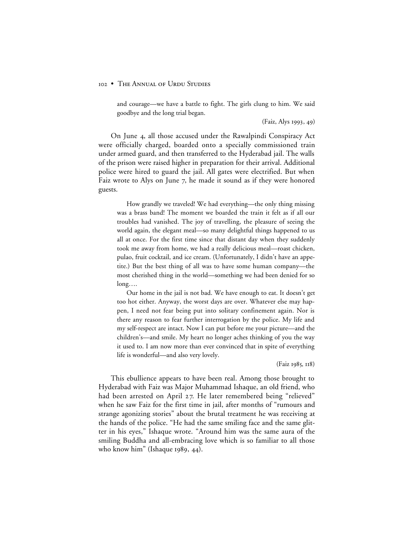and courage—we have a battle to fight. The girls clung to him. We said goodbye and the long trial began.

 $(Faiz, Alys 1993, 49)$ 

On June 4, all those accused under the Rawalpindi Conspiracy Act were officially charged, boarded onto a specially commissioned train under armed guard, and then transferred to the Hyderabad jail. The walls of the prison were raised higher in preparation for their arrival. Additional police were hired to guard the jail. All gates were electrified. But when Faiz wrote to Alys on June 7, he made it sound as if they were honored guests.

How grandly we traveled! We had everything—the only thing missing was a brass band! The moment we boarded the train it felt as if all our troubles had vanished. The joy of travelling, the pleasure of seeing the world again, the elegant meal—so many delightful things happened to us all at once. For the first time since that distant day when they suddenly took me away from home, we had a really delicious meal—roast chicken, pulao, fruit cocktail, and ice cream. (Unfortunately, I didn't have an appetite.) But the best thing of all was to have some human company—the most cherished thing in the world—something we had been denied for so long….

Our home in the jail is not bad. We have enough to eat. It doesn't get too hot either. Anyway, the worst days are over. Whatever else may happen, I need not fear being put into solitary confinement again. Nor is there any reason to fear further interrogation by the police. My life and my self-respect are intact. Now I can put before me your picture—and the children's—and smile. My heart no longer aches thinking of you the way it used to. I am now more than ever convinced that in spite of everything life is wonderful—and also very lovely.

#### (Faiz 1985, 118)

This ebullience appears to have been real. Among those brought to Hyderabad with Faiz was Major Muhammad Ishaque, an old friend, who had been arrested on April 27. He later remembered being "relieved" when he saw Faiz for the first time in jail, after months of "rumours and strange agonizing stories" about the brutal treatment he was receiving at the hands of the police. "He had the same smiling face and the same glitter in his eyes," Ishaque wrote. "Around him was the same aura of the smiling Buddha and all-embracing love which is so familiar to all those who know him" (Ishaque  $1989, 44$ ).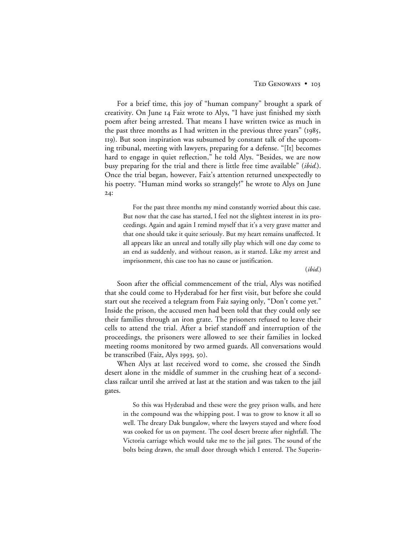For a brief time, this joy of "human company" brought a spark of creativity. On June 14 Faiz wrote to Alys, "I have just finished my sixth poem after being arrested. That means I have written twice as much in the past three months as I had written in the previous three years"  $(1985, 1985)$ ). But soon inspiration was subsumed by constant talk of the upcoming tribunal, meeting with lawyers, preparing for a defense. "[It] becomes hard to engage in quiet reflection," he told Alys. "Besides, we are now busy preparing for the trial and there is little free time available" (*ibid.*). Once the trial began, however, Faiz's attention returned unexpectedly to his poetry. "Human mind works so strangely!" he wrote to Alys on June  $24:$ 

For the past three months my mind constantly worried about this case. But now that the case has started, I feel not the slightest interest in its proceedings. Again and again I remind myself that it's a very grave matter and that one should take it quite seriously. But my heart remains unaffected. It all appears like an unreal and totally silly play which will one day come to an end as suddenly, and without reason, as it started. Like my arrest and imprisonment, this case too has no cause or justification.

(*ibid.*)

Soon after the official commencement of the trial, Alys was notified that she could come to Hyderabad for her first visit, but before she could start out she received a telegram from Faiz saying only, "Don't come yet." Inside the prison, the accused men had been told that they could only see their families through an iron grate. The prisoners refused to leave their cells to attend the trial. After a brief standoff and interruption of the proceedings, the prisoners were allowed to see their families in locked meeting rooms monitored by two armed guards. All conversations would be transcribed (Faiz, Alys 1993,  $\zeta$ o).

When Alys at last received word to come, she crossed the Sindh desert alone in the middle of summer in the crushing heat of a secondclass railcar until she arrived at last at the station and was taken to the jail gates.

So this was Hyderabad and these were the grey prison walls, and here in the compound was the whipping post. I was to grow to know it all so well. The dreary Dak bungalow, where the lawyers stayed and where food was cooked for us on payment. The cool desert breeze after nightfall. The Victoria carriage which would take me to the jail gates. The sound of the bolts being drawn, the small door through which I entered. The Superin-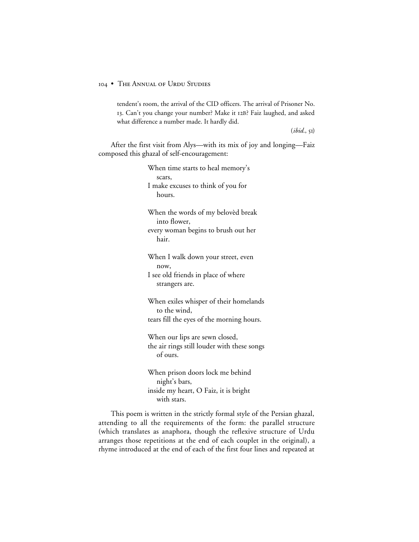tendent's room, the arrival of the CID officers. The arrival of Prisoner No. 13. Can't you change your number? Make it 12B? Faiz laughed, and asked what difference a number made. It hardly did.

 $(ibid., 5I)$ 

After the first visit from Alys—with its mix of joy and longing—Faiz composed this ghazal of self-encouragement:

> When time starts to heal memory's scars, I make excuses to think of you for hours. When the words of my belovèd break into flower, every woman begins to brush out her hair. When I walk down your street, even now, I see old friends in place of where strangers are. When exiles whisper of their homelands to the wind, tears fill the eyes of the morning hours. When our lips are sewn closed, the air rings still louder with these songs of ours. When prison doors lock me behind night's bars, inside my heart, O Faiz, it is bright with stars.

This poem is written in the strictly formal style of the Persian ghazal, attending to all the requirements of the form: the parallel structure (which translates as anaphora, though the reflexive structure of Urdu arranges those repetitions at the end of each couplet in the original), a rhyme introduced at the end of each of the first four lines and repeated at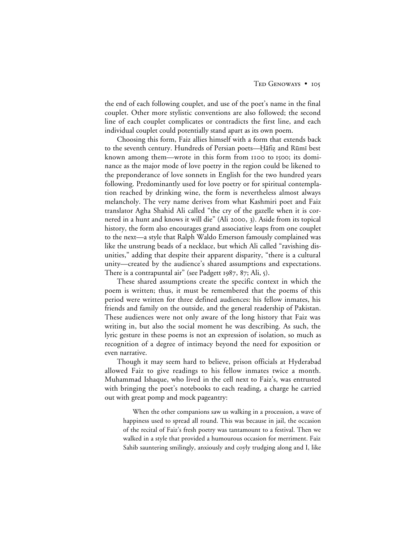the end of each following couplet, and use of the poet's name in the final couplet. Other more stylistic conventions are also followed; the second line of each couplet complicates or contradicts the first line, and each individual couplet could potentially stand apart as its own poem.

Choosing this form, Faiz allies himself with a form that extends back to the seventh century. Hundreds of Persian poets—Hāfiz and Rūmī best known among them—wrote in this form from 1100 to 1500; its dominance as the major mode of love poetry in the region could be likened to the preponderance of love sonnets in English for the two hundred years following. Predominantly used for love poetry or for spiritual contemplation reached by drinking wine, the form is nevertheless almost always melancholy. The very name derives from what Kashmiri poet and Faiz translator Agha Shahid Ali called "the cry of the gazelle when it is cornered in a hunt and knows it will die" (Ali 2000, 3). Aside from its topical history, the form also encourages grand associative leaps from one couplet to the next—a style that Ralph Waldo Emerson famously complained was like the unstrung beads of a necklace, but which Ali called "ravishing disunities," adding that despite their apparent disparity, "there is a cultural unity—created by the audience's shared assumptions and expectations. There is a contrapuntal air" (see Padgett 1987, 87; Ali, 5).

These shared assumptions create the specific context in which the poem is written; thus, it must be remembered that the poems of this period were written for three defined audiences: his fellow inmates, his friends and family on the outside, and the general readership of Pakistan. These audiences were not only aware of the long history that Faiz was writing in, but also the social moment he was describing. As such, the lyric gesture in these poems is not an expression of isolation, so much as recognition of a degree of intimacy beyond the need for exposition or even narrative.

Though it may seem hard to believe, prison officials at Hyderabad allowed Faiz to give readings to his fellow inmates twice a month. Muhammad Ishaque, who lived in the cell next to Faiz's, was entrusted with bringing the poet's notebooks to each reading, a charge he carried out with great pomp and mock pageantry:

When the other companions saw us walking in a procession, a wave of happiness used to spread all round. This was because in jail, the occasion of the recital of Faiz's fresh poetry was tantamount to a festival. Then we walked in a style that provided a humourous occasion for merriment. Faiz Sahib sauntering smilingly, anxiously and coyly trudging along and I, like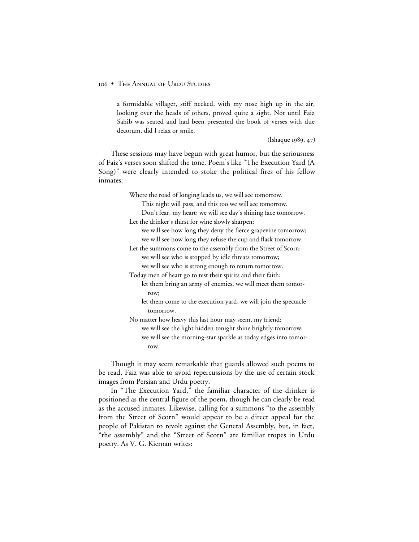a formidable villager, stiff necked, with my nose high up in the air, looking over the heads of others, proved quite a sight. Not until Faiz Sahib was seated and had been presented the book of verses with due decorum, did I relax or smile.

 $(Ishaque 1989, 47)$ 

These sessions may have begun with great humor, but the seriousness of Faiz's verses soon shifted the tone. Poem's like "The Execution Yard (A Song)" were clearly intended to stoke the political fires of his fellow inmates:

Where the road of longing leads us, we will see tomorrow.

This night will pass, and this too we will see tomorrow.

Don't fear, my heart; we will see day's shining face tomorrow. Let the drinker's thirst for wine slowly sharpen:

we will see how long they deny the fierce grapevine tomorrow; we will see how long they refuse the cup and flask tomorrow.

Let the summons come to the assembly from the Street of Scorn: we will see who is stopped by idle threats tomorrow;

we will see who is strong enough to return tomorrow.

Today men of heart go to test their spirits and their faith:

let them bring an army of enemies, we will meet them tomorrow;

let them come to the execution yard, we will join the spectacle tomorrow.

No matter how heavy this last hour may seem, my friend: we will see the light hidden tonight shine brightly tomorrow; we will see the morning-star sparkle as today edges into tomorrow.

Though it may seem remarkable that guards allowed such poems to be read, Faiz was able to avoid repercussions by the use of certain stock images from Persian and Urdu poetry.

In "The Execution Yard," the familiar character of the drinker is positioned as the central figure of the poem, though he can clearly be read as the accused inmates. Likewise, calling for a summons "to the assembly from the Street of Scorn" would appear to be a direct appeal for the people of Pakistan to revolt against the General Assembly, but, in fact, "the assembly" and the "Street of Scorn" are familiar tropes in Urdu poetry. As V. G. Kiernan writes: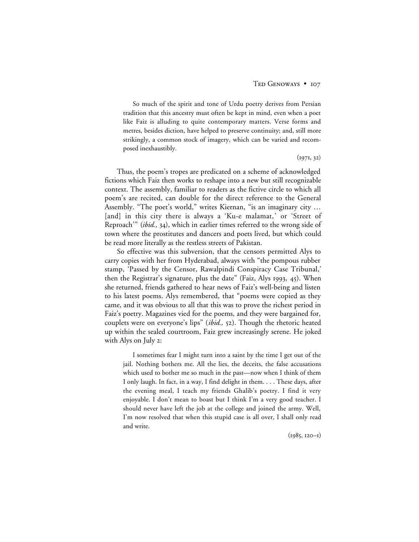So much of the spirit and tone of Urdu poetry derives from Persian tradition that this ancestry must often be kept in mind, even when a poet like Faiz is alluding to quite contemporary matters. Verse forms and metres, besides diction, have helped to preserve continuity; and, still more strikingly, a common stock of imagery, which can be varied and recomposed inexhaustibly.

 $(1971, 32)$ 

Thus, the poem's tropes are predicated on a scheme of acknowledged fictions which Faiz then works to reshape into a new but still recognizable context. The assembly, familiar to readers as the fictive circle to which all poem's are recited, can double for the direct reference to the General Assembly. "The poet's world," writes Kiernan, "is an imaginary city … [and] in this city there is always a 'Ku-e malamat,' or 'Street of Reproach'" (*ibid.*, 34), which in earlier times referred to the wrong side of town where the prostitutes and dancers and poets lived, but which could be read more literally as the restless streets of Pakistan.

So effective was this subversion, that the censors permitted Alys to carry copies with her from Hyderabad, always with "the pompous rubber stamp, 'Passed by the Censor, Rawalpindi Conspiracy Case Tribunal,' then the Registrar's signature, plus the date" (Faiz, Alys 1993, 45). When she returned, friends gathered to hear news of Faiz's well-being and listen to his latest poems. Alys remembered, that "poems were copied as they came, and it was obvious to all that this was to prove the richest period in Faiz's poetry. Magazines vied for the poems, and they were bargained for, couplets were on everyone's lips" (*ibid.*, 52). Though the rhetoric heated up within the sealed courtroom, Faiz grew increasingly serene. He joked with Alys on July 2:

I sometimes fear I might turn into a saint by the time I get out of the jail. Nothing bothers me. All the lies, the deceits, the false accusations which used to bother me so much in the past—now when I think of them I only laugh. In fact, in a way, I find delight in them. . . . These days, after the evening meal, I teach my friends Ghalib's poetry. I find it very enjoyable. I don't mean to boast but I think I'm a very good teacher. I should never have left the job at the college and joined the army. Well, I'm now resolved that when this stupid case is all over, I shall only read and write.

 $(1985, 120 - 1)$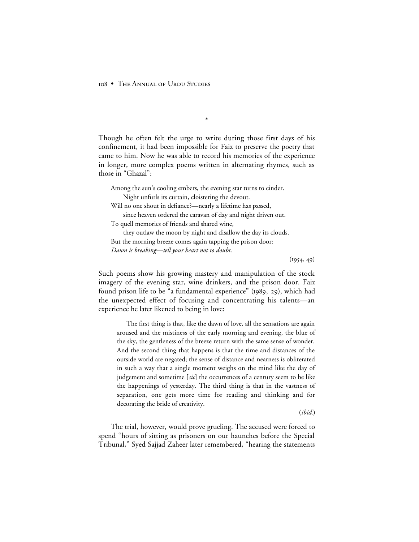Though he often felt the urge to write during those first days of his confinement, it had been impossible for Faiz to preserve the poetry that came to him. Now he was able to record his memories of the experience in longer, more complex poems written in alternating rhymes, such as those in "Ghazal":

\*

Among the sun's cooling embers, the evening star turns to cinder. Night unfurls its curtain, cloistering the devout.

Will no one shout in defiance?—nearly a lifetime has passed,

since heaven ordered the caravan of day and night driven out.

To quell memories of friends and shared wine,

they outlaw the moon by night and disallow the day its clouds. But the morning breeze comes again tapping the prison door: *Dawn is breaking—tell your heart not to doubt.*

 $(1954, 49)$ 

Such poems show his growing mastery and manipulation of the stock imagery of the evening star, wine drinkers, and the prison door. Faiz found prison life to be "a fundamental experience" (1989, 29), which had the unexpected effect of focusing and concentrating his talents—an experience he later likened to being in love:

The first thing is that, like the dawn of love, all the sensations are again aroused and the mistiness of the early morning and evening, the blue of the sky, the gentleness of the breeze return with the same sense of wonder. And the second thing that happens is that the time and distances of the outside world are negated; the sense of distance and nearness is obliterated in such a way that a single moment weighs on the mind like the day of judgement and sometime [*sic*] the occurrences of a century seem to be like the happenings of yesterday. The third thing is that in the vastness of separation, one gets more time for reading and thinking and for decorating the bride of creativity.

(*ibid.*)

The trial, however, would prove grueling. The accused were forced to spend "hours of sitting as prisoners on our haunches before the Special Tribunal," Syed Sajjad Zaheer later remembered, "hearing the statements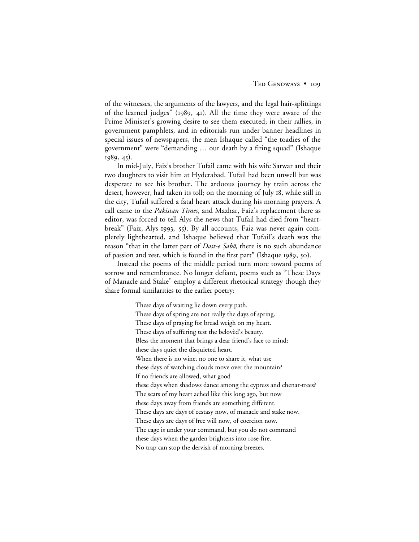of the witnesses, the arguments of the lawyers, and the legal hair-splittings of the learned judges" (1989, 41). All the time they were aware of the Prime Minister's growing desire to see them executed; in their rallies, in government pamphlets, and in editorials run under banner headlines in special issues of newspapers, the men Ishaque called "the toadies of the government" were "demanding … our death by a firing squad" (Ishaque  $1989, 45$ .

In mid-July, Faiz's brother Tufail came with his wife Sarwar and their two daughters to visit him at Hyderabad. Tufail had been unwell but was desperate to see his brother. The arduous journey by train across the desert, however, had taken its toll; on the morning of July 18, while still in the city, Tufail suffered a fatal heart attack during his morning prayers. A call came to the *Pakistan Times*, and Mazhar, Faiz's replacement there as editor, was forced to tell Alys the news that Tufail had died from "heartbreak" (Faiz, Alys 1993, 55). By all accounts, Faiz was never again completely lighthearted, and Ishaque believed that Tufail's death was the reason "that in the latter part of *Dast-e Şabā*, there is no such abundance of passion and zest, which is found in the first part" (Ishaque 1989, 50).

Instead the poems of the middle period turn more toward poems of sorrow and remembrance. No longer defiant, poems such as "These Days of Manacle and Stake" employ a different rhetorical strategy though they share formal similarities to the earlier poetry:

> These days of waiting lie down every path. These days of spring are not really the days of spring. These days of praying for bread weigh on my heart. These days of suffering test the belovèd's beauty. Bless the moment that brings a dear friend's face to mind; these days quiet the disquieted heart. When there is no wine, no one to share it, what use these days of watching clouds move over the mountain? If no friends are allowed, what good these days when shadows dance among the cypress and chenar-trees? The scars of my heart ached like this long ago, but now these days away from friends are something different. These days are days of ecstasy now, of manacle and stake now. These days are days of free will now, of coercion now. The cage is under your command, but you do not command these days when the garden brightens into rose-fire. No trap can stop the dervish of morning breezes.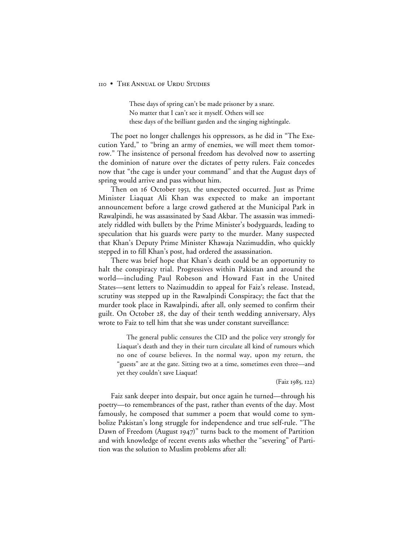These days of spring can't be made prisoner by a snare. No matter that I can't see it myself. Others will see these days of the brilliant garden and the singing nightingale.

The poet no longer challenges his oppressors, as he did in "The Execution Yard," to "bring an army of enemies, we will meet them tomorrow." The insistence of personal freedom has devolved now to asserting the dominion of nature over the dictates of petty rulers. Faiz concedes now that "the cage is under your command" and that the August days of spring would arrive and pass without him.

Then on 16 October 1951, the unexpected occurred. Just as Prime Minister Liaquat Ali Khan was expected to make an important announcement before a large crowd gathered at the Municipal Park in Rawalpindi, he was assassinated by Saad Akbar. The assassin was immediately riddled with bullets by the Prime Minister's bodyguards, leading to speculation that his guards were party to the murder. Many suspected that Khan's Deputy Prime Minister Khawaja Nazimuddin, who quickly stepped in to fill Khan's post, had ordered the assassination.

There was brief hope that Khan's death could be an opportunity to halt the conspiracy trial. Progressives within Pakistan and around the world—including Paul Robeson and Howard Fast in the United States—sent letters to Nazimuddin to appeal for Faiz's release. Instead, scrutiny was stepped up in the Rawalpindi Conspiracy; the fact that the murder took place in Rawalpindi, after all, only seemed to confirm their guilt. On October 28, the day of their tenth wedding anniversary, Alys wrote to Faiz to tell him that she was under constant surveillance:

The general public censures the CID and the police very strongly for Liaquat's death and they in their turn circulate all kind of rumours which no one of course believes. In the normal way, upon my return, the "guests" are at the gate. Sitting two at a time, sometimes even three—and yet they couldn't save Liaquat!

(Faiz 1985, 122)

Faiz sank deeper into despair, but once again he turned—through his poetry—to remembrances of the past, rather than events of the day. Most famously, he composed that summer a poem that would come to symbolize Pakistan's long struggle for independence and true self-rule. "The Dawn of Freedom (August 1947)" turns back to the moment of Partition and with knowledge of recent events asks whether the "severing" of Partition was the solution to Muslim problems after all: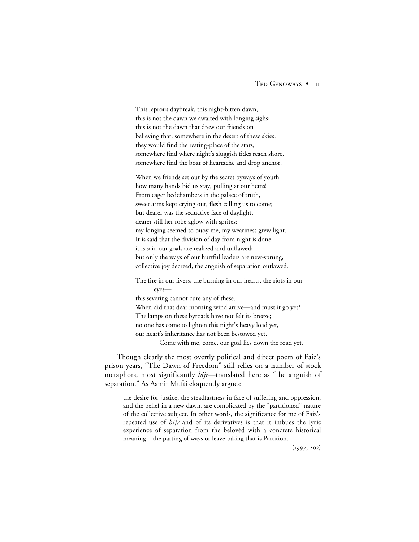# TED GENOWAYS • III

This leprous daybreak, this night-bitten dawn, this is not the dawn we awaited with longing sighs; this is not the dawn that drew our friends on believing that, somewhere in the desert of these skies, they would find the resting-place of the stars, somewhere find where night's sluggish tides reach shore, somewhere find the boat of heartache and drop anchor.

When we friends set out by the secret byways of youth how many hands bid us stay, pulling at our hems! From eager bedchambers in the palace of truth, sweet arms kept crying out, flesh calling us to come; but dearer was the seductive face of daylight, dearer still her robe aglow with sprites: my longing seemed to buoy me, my weariness grew light. It is said that the division of day from night is done, it is said our goals are realized and unflawed; but only the ways of our hurtful leaders are new-sprung, collective joy decreed, the anguish of separation outlawed.

The fire in our livers, the burning in our hearts, the riots in our eyes this severing cannot cure any of these. When did that dear morning wind arrive—and must it go yet? The lamps on these byroads have not felt its breeze; no one has come to lighten this night's heavy load yet, our heart's inheritance has not been bestowed yet. Come with me, come, our goal lies down the road yet.

Though clearly the most overtly political and direct poem of Faiz's prison years, "The Dawn of Freedom" still relies on a number of stock metaphors, most significantly *hijr*—translated here as "the anguish of separation." As Aamir Mufti eloquently argues:

the desire for justice, the steadfastness in face of suffering and oppression, and the belief in a new dawn, are complicated by the "partitioned" nature of the collective subject. In other words, the significance for me of Faiz's repeated use of *hijr* and of its derivatives is that it imbues the lyric experience of separation from the belovèd with a concrete historical meaning—the parting of ways or leave-taking that is Partition.

 $(1997, 202)$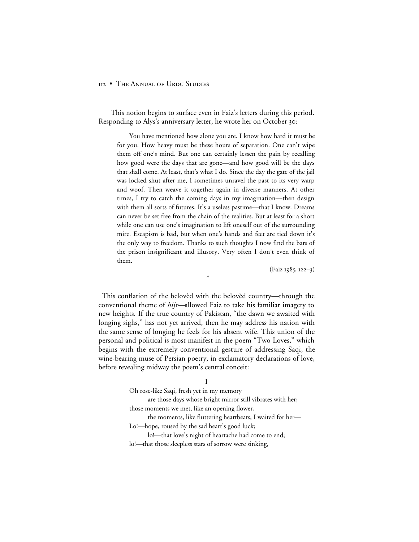This notion begins to surface even in Faiz's letters during this period. Responding to Alys's anniversary letter, he wrote her on October 30:

You have mentioned how alone you are. I know how hard it must be for you. How heavy must be these hours of separation. One can't wipe them off one's mind. But one can certainly lessen the pain by recalling how good were the days that are gone—and how good will be the days that shall come. At least, that's what I do. Since the day the gate of the jail was locked shut after me, I sometimes unravel the past to its very warp and woof. Then weave it together again in diverse manners. At other times, I try to catch the coming days in my imagination—then design with them all sorts of futures. It's a useless pastime—that I know. Dreams can never be set free from the chain of the realities. But at least for a short while one can use one's imagination to lift oneself out of the surrounding mire. Escapism is bad, but when one's hands and feet are tied down it's the only way to freedom. Thanks to such thoughts I now find the bars of the prison insignificant and illusory. Very often I don't even think of them.

 $(Faiz 1985, 122-3)$ 

This conflation of the belovèd with the belovèd country—through the conventional theme of *hijr—*allowed Faiz to take his familiar imagery to new heights. If the true country of Pakistan, "the dawn we awaited with longing sighs," has not yet arrived, then he may address his nation with the same sense of longing he feels for his absent wife. This union of the personal and political is most manifest in the poem "Two Loves," which begins with the extremely conventional gesture of addressing Saqi, the wine-bearing muse of Persian poetry, in exclamatory declarations of love, before revealing midway the poem's central conceit:

\*

**I**

Oh rose-like Saqi, fresh yet in my memory

are those days whose bright mirror still vibrates with her; those moments we met, like an opening flower,

the moments, like fluttering heartbeats, I waited for her—

Lo!—hope, roused by the sad heart's good luck;

lo!—that love's night of heartache had come to end;

lo!—that those sleepless stars of sorrow were sinking,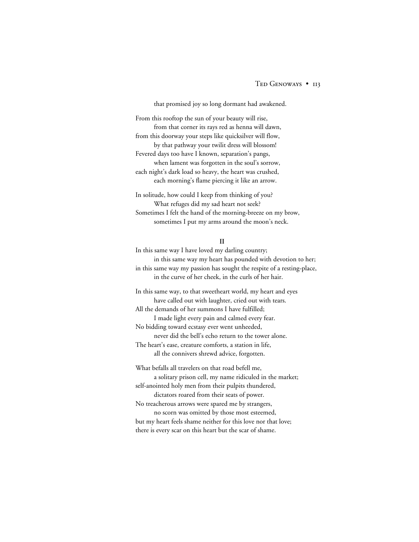that promised joy so long dormant had awakened.

From this rooftop the sun of your beauty will rise, from that corner its rays red as henna will dawn, from this doorway your steps like quicksilver will flow, by that pathway your twilit dress will blossom! Fevered days too have I known, separation's pangs, when lament was forgotten in the soul's sorrow, each night's dark load so heavy, the heart was crushed, each morning's flame piercing it like an arrow.

In solitude, how could I keep from thinking of you? What refuges did my sad heart not seek? Sometimes I felt the hand of the morning-breeze on my brow, sometimes I put my arms around the moon's neck.

#### **II**

In this same way I have loved my darling country; in this same way my heart has pounded with devotion to her; in this same way my passion has sought the respite of a resting-place, in the curve of her cheek, in the curls of her hair.

In this same way, to that sweetheart world, my heart and eyes have called out with laughter, cried out with tears. All the demands of her summons I have fulfilled; I made light every pain and calmed every fear. No bidding toward ecstasy ever went unheeded, never did the bell's echo return to the tower alone. The heart's ease, creature comforts, a station in life, all the connivers shrewd advice, forgotten.

What befalls all travelers on that road befell me,

a solitary prison cell, my name ridiculed in the market; self-anointed holy men from their pulpits thundered, dictators roared from their seats of power.

No treacherous arrows were spared me by strangers,

no scorn was omitted by those most esteemed, but my heart feels shame neither for this love nor that love; there is every scar on this heart but the scar of shame.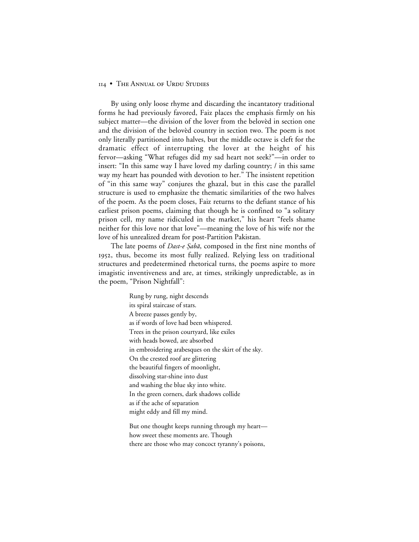By using only loose rhyme and discarding the incantatory traditional forms he had previously favored, Faiz places the emphasis firmly on his subject matter—the division of the lover from the belovèd in section one and the division of the belovèd country in section two. The poem is not only literally partitioned into halves, but the middle octave is cleft for the dramatic effect of interrupting the lover at the height of his fervor—asking "What refuges did my sad heart not seek?"—in order to insert: "In this same way I have loved my darling country; / in this same way my heart has pounded with devotion to her." The insistent repetition of "in this same way" conjures the ghazal, but in this case the parallel structure is used to emphasize the thematic similarities of the two halves of the poem. As the poem closes, Faiz returns to the defiant stance of his earliest prison poems, claiming that though he is confined to "a solitary prison cell, my name ridiculed in the market," his heart "feels shame neither for this love nor that love"—meaning the love of his wife nor the love of his unrealized dream for post-Partition Pakistan.

The late poems of *Dast-e Şabā*, composed in the first nine months of 1952, thus, become its most fully realized. Relying less on traditional structures and predetermined rhetorical turns, the poems aspire to more imagistic inventiveness and are, at times, strikingly unpredictable, as in the poem, "Prison Nightfall":

> Rung by rung, night descends its spiral staircase of stars. A breeze passes gently by, as if words of love had been whispered. Trees in the prison courtyard, like exiles with heads bowed, are absorbed in embroidering arabesques on the skirt of the sky. On the crested roof are glittering the beautiful fingers of moonlight, dissolving star-shine into dust and washing the blue sky into white. In the green corners, dark shadows collide as if the ache of separation might eddy and fill my mind.

But one thought keeps running through my heart how sweet these moments are. Though there are those who may concoct tyranny's poisons,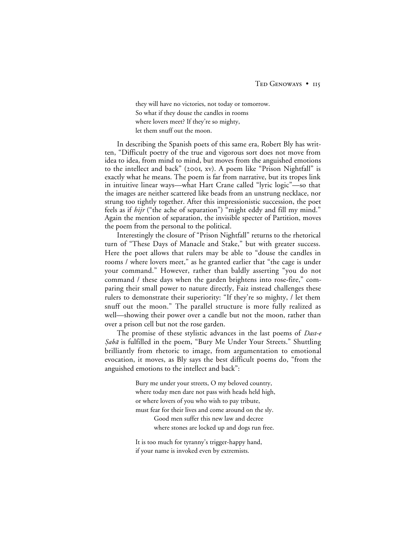they will have no victories, not today or tomorrow. So what if they douse the candles in rooms where lovers meet? If they're so mighty, let them snuff out the moon.

In describing the Spanish poets of this same era, Robert Bly has written, "Difficult poetry of the true and vigorous sort does not move from idea to idea, from mind to mind, but moves from the anguished emotions to the intellect and back" (2001, xv). A poem like "Prison Nightfall" is exactly what he means. The poem is far from narrative, but its tropes link in intuitive linear ways—what Hart Crane called "lyric logic"—so that the images are neither scattered like beads from an unstrung necklace, nor strung too tightly together. After this impressionistic succession, the poet feels as if *hijr* ("the ache of separation") "might eddy and fill my mind." Again the mention of separation, the invisible specter of Partition, moves the poem from the personal to the political.

Interestingly the closure of "Prison Nightfall" returns to the rhetorical turn of "These Days of Manacle and Stake," but with greater success. Here the poet allows that rulers may be able to "douse the candles in rooms / where lovers meet," as he granted earlier that "the cage is under your command." However, rather than baldly asserting "you do not command / these days when the garden brightens into rose-fire," comparing their small power to nature directly, Faiz instead challenges these rulers to demonstrate their superiority: "If they're so mighty, / let them snuff out the moon." The parallel structure is more fully realized as well—showing their power over a candle but not the moon, rather than over a prison cell but not the rose garden.

The promise of these stylistic advances in the last poems of *Dast-e* Sabā is fulfilled in the poem, "Bury Me Under Your Streets." Shuttling brilliantly from rhetoric to image, from argumentation to emotional evocation, it moves, as Bly says the best difficult poems do, "from the anguished emotions to the intellect and back":

> Bury me under your streets, O my beloved country, where today men dare not pass with heads held high, or where lovers of you who wish to pay tribute, must fear for their lives and come around on the sly. Good men suffer this new law and decree where stones are locked up and dogs run free.

It is too much for tyranny's trigger-happy hand, if your name is invoked even by extremists.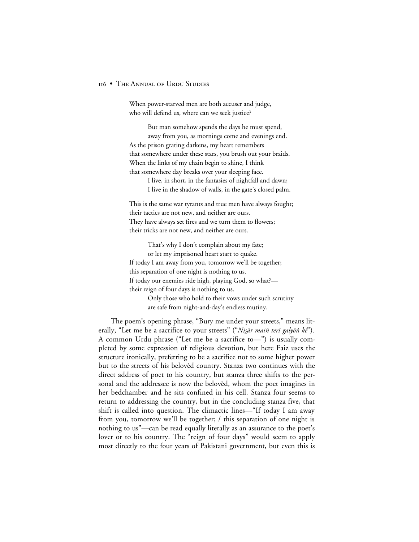When power-starved men are both accuser and judge, who will defend us, where can we seek justice?

But man somehow spends the days he must spend, away from you, as mornings come and evenings end. As the prison grating darkens, my heart remembers that somewhere under these stars, you brush out your braids. When the links of my chain begin to shine, I think that somewhere day breaks over your sleeping face.

> I live, in short, in the fantasies of nightfall and dawn; I live in the shadow of walls, in the gate's closed palm.

This is the same war tyrants and true men have always fought; their tactics are not new, and neither are ours. They have always set fires and we turn them to flowers; their tricks are not new, and neither are ours.

That's why I don't complain about my fate; or let my imprisoned heart start to quake. If today I am away from you, tomorrow we'll be together; this separation of one night is nothing to us. If today our enemies ride high, playing God, so what? their reign of four days is nothing to us. Only those who hold to their vows under such scrutiny

are safe from night-and-day's endless mutiny.

The poem's opening phrase, "Bury me under your streets," means literally, "Let me be a sacrifice to your streets" ("Nisār main terī galyōn kē"). A common Urdu phrase ("Let me be a sacrifice to—") is usually completed by some expression of religious devotion, but here Faiz uses the structure ironically, preferring to be a sacrifice not to some higher power but to the streets of his belovèd country. Stanza two continues with the direct address of poet to his country, but stanza three shifts to the personal and the addressee is now the belovèd, whom the poet imagines in her bedchamber and he sits confined in his cell. Stanza four seems to return to addressing the country, but in the concluding stanza five, that shift is called into question. The climactic lines—"If today I am away from you, tomorrow we'll be together; / this separation of one night is nothing to us"—can be read equally literally as an assurance to the poet's lover or to his country. The "reign of four days" would seem to apply most directly to the four years of Pakistani government, but even this is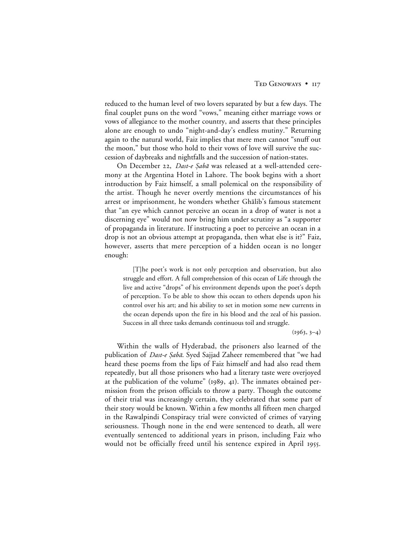reduced to the human level of two lovers separated by but a few days. The final couplet puns on the word "vows," meaning either marriage vows or vows of allegiance to the mother country, and asserts that these principles alone are enough to undo "night-and-day's endless mutiny." Returning again to the natural world, Faiz implies that mere men cannot "snuff out the moon," but those who hold to their vows of love will survive the succession of daybreaks and nightfalls and the succession of nation-states.

On December 22, Dast-e Şabā was released at a well-attended ceremony at the Argentina Hotel in Lahore. The book begins with a short introduction by Faiz himself, a small polemical on the responsibility of the artist. Though he never overtly mentions the circumstances of his arrest or imprisonment, he wonders whether Ghalib's famous statement that "an eye which cannot perceive an ocean in a drop of water is not a discerning eye" would not now bring him under scrutiny as "a supporter of propaganda in literature. If instructing a poet to perceive an ocean in a drop is not an obvious attempt at propaganda, then what else is it?" Faiz, however, asserts that mere perception of a hidden ocean is no longer enough:

[T]he poet's work is not only perception and observation, but also struggle and effort. A full comprehension of this ocean of Life through the live and active "drops" of his environment depends upon the poet's depth of perception. To be able to show this ocean to others depends upon his control over his art; and his ability to set in motion some new currents in the ocean depends upon the fire in his blood and the zeal of his passion. Success in all three tasks demands continuous toil and struggle.

 $(1963, 3-4)$ 

Within the walls of Hyderabad, the prisoners also learned of the publication of *Dast-e Şabā*. Syed Sajjad Zaheer remembered that "we had heard these poems from the lips of Faiz himself and had also read them repeatedly, but all those prisoners who had a literary taste were overjoyed at the publication of the volume"  $(1989, 41)$ . The inmates obtained permission from the prison officials to throw a party. Though the outcome of their trial was increasingly certain, they celebrated that some part of their story would be known. Within a few months all fifteen men charged in the Rawalpindi Conspiracy trial were convicted of crimes of varying seriousness. Though none in the end were sentenced to death, all were eventually sentenced to additional years in prison, including Faiz who would not be officially freed until his sentence expired in April 1955.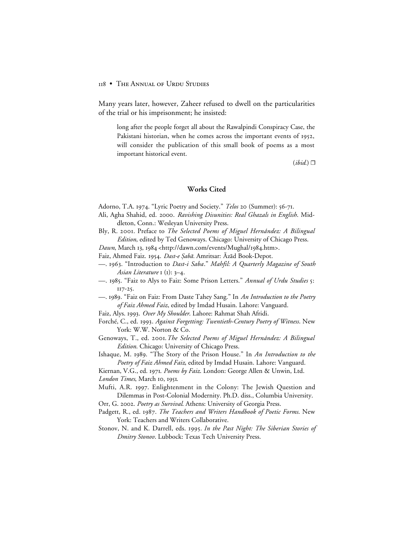Many years later, however, Zaheer refused to dwell on the particularities of the trial or his imprisonment; he insisted:

long after the people forget all about the Rawalpindi Conspiracy Case, the Pakistani historian, when he comes across the important events of 1952, will consider the publication of this small book of poems as a most important historical event.

 $(ibid.) \Box$ 

# **Works Cited**

Adorno, T.A. 1974. "Lyric Poetry and Society." Telos 20 (Summer): 56-71.

- Ali, Agha Shahid, ed. 2000. Ravishing Disunities: Real Ghazals in English. Middleton, Conn.: Wesleyan University Press.
- Bly, R. 2001. Preface to *The Selected Poems of Miguel Hernández: A Bilingual Edition*, edited by Ted Genoways. Chicago: University of Chicago Press.

Dawn, March 13, 1984 <http://dawn.com/events/Mughal/1984.htm>.

- Faiz, Ahmed Faiz. 1954. Dast-e Şabā. Amritsar: Azād Book-Depot.
- —. . "Introduction to *Dast-i Saba*." *Mahfil: A Quarterly Magazine of South Asian Literature* **1** (**1**): 3–4.
- —. 1985. "Faiz to Alys to Faiz: Some Prison Letters." *Annual of Urdu Studies* 5:  $117 - 25$ .
- —. . "Faiz on Faiz: From Daste Tahey Sang." In *An Introduction to the Poetry of Faiz Ahmed Faiz*, edited by Imdad Husain. Lahore: Vanguard.
- Faiz, Alys. . *Over My Shoulder*. Lahore: Rahmat Shah Afridi.
- Forché, C., ed. . *Against Forgetting: Twentieth-Century Poetry of Witness*. New York: W.W. Norton & Co.
- Genoways, T., ed. 2001. The Selected Poems of Miguel Hernández: A Bilingual *Edition*. Chicago: University of Chicago Press.
- Ishaque, M. 1989. "The Story of the Prison House." In *An Introduction to the Poetry of Faiz Ahmed Faiz*, edited by Imdad Husain. Lahore: Vanguard.

Kiernan, V.G., ed. . *Poems by Faiz*. London: George Allen & Unwin, Ltd. London Times, March 10, 1951.

Mufti, A.R. 1997. Enlightenment in the Colony: The Jewish Question and Dilemmas in Post-Colonial Modernity. Ph.D. diss., Columbia University.

Orr, G. 2002. *Poetry as Survival*. Athens: University of Georgia Press.

- Padgett, R., ed. 1987. *The Teachers and Writers Handbook of Poetic Forms*. New York: Teachers and Writers Collaborative.
- Stonov, N. and K. Darrell, eds. . *In the Past Night: The Siberian Stories of Dmitry Stonov*. Lubbock: Texas Tech University Press.